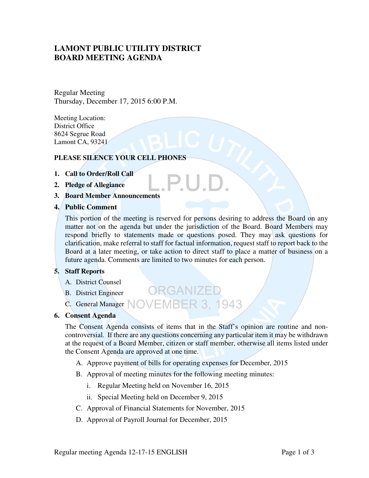# **LAMONT PUBLIC UTILITY DISTRICT BOARD MEETING AGENDA**

Regular Meeting Thursday, December 17, 2015 6:00 P.M.

Meeting Location: District Office 8624 Segrue Road Lamont CA, 93241

### **PLEASE SILENCE YOUR CELL PHONES**

- **1. Call to Order/Roll Call**
- **2. Pledge of Allegiance**
- **3. Board Member Announcements**

#### **4. Public Comment**

This portion of the meeting is reserved for persons desiring to address the Board on any matter not on the agenda but under the jurisdiction of the Board. Board Members may respond briefly to statements made or questions posed. They may ask questions for clarification, make referral to staff for factual information, request staff to report back to the Board at a later meeting, or take action to direct staff to place a matter of business on a future agenda. Comments are limited to two minutes for each person.

P.U.E

#### **5. Staff Reports**

- A. District Counsel
- B. District Engineer
- C. General Manager NOVEMBER 3, 1943

#### **6. Consent Agenda**

The Consent Agenda consists of items that in the Staff's opinion are routine and noncontroversial. If there are any questions concerning any particular item it may be withdrawn at the request of a Board Member, citizen or staff member, otherwise all items listed under the Consent Agenda are approved at one time.

A. Approve payment of bills for operating expenses for December, 2015

ORGANIZED

- B. Approval of meeting minutes for the following meeting minutes:
	- i. Regular Meeting held on November 16, 2015
	- ii. Special Meeting held on December 9, 2015
- C. Approval of Financial Statements for November, 2015
- D. Approval of Payroll Journal for December, 2015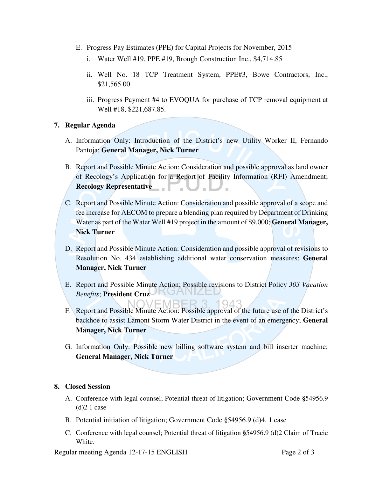- E. Progress Pay Estimates (PPE) for Capital Projects for November, 2015
	- i. Water Well #19, PPE #19, Brough Construction Inc., \$4,714.85
	- ii. Well No. 18 TCP Treatment System, PPE#3, Bowe Contractors, Inc., \$21,565.00
	- iii. Progress Payment #4 to EVOQUA for purchase of TCP removal equipment at Well #18, \$221,687.85.

## **7. Regular Agenda**

- A. Information Only: Introduction of the District's new Utility Worker II, Fernando Pantoja; **General Manager, Nick Turner**
- B. Report and Possible Minute Action: Consideration and possible approval as land owner of Recology's Application for a Report of Facility Information (RFI) Amendment; **Recology Representative** шA.
- C. Report and Possible Minute Action: Consideration and possible approval of a scope and fee increase for AECOM to prepare a blending plan required by Department of Drinking Water as part of the Water Well #19 project in the amount of \$9,000; **General Manager, Nick Turner**
- D. Report and Possible Minute Action: Consideration and possible approval of revisions to Resolution No. 434 establishing additional water conservation measures; **General Manager, Nick Turner**
- E. Report and Possible Minute Action: Possible revisions to District Policy *303 Vacation Benefits*; **President Cruz**

 $0/3$ 

- F. Report and Possible Minute Action: Possible approval of the future use of the District's backhoe to assist Lamont Storm Water District in the event of an emergency; **General Manager, Nick Turner**
- G. Information Only: Possible new billing software system and bill inserter machine; **General Manager, Nick Turner**

### **8. Closed Session**

- A. Conference with legal counsel; Potential threat of litigation; Government Code **§**54956.9  $(d)$ 2 1 case
- B. Potential initiation of litigation; Government Code §54956.9 (d)4, 1 case
- C. Conference with legal counsel; Potential threat of litigation **§**54956.9 (d)2 Claim of Tracie White.

Regular meeting Agenda 12-17-15 ENGLISH Page 2 of 3